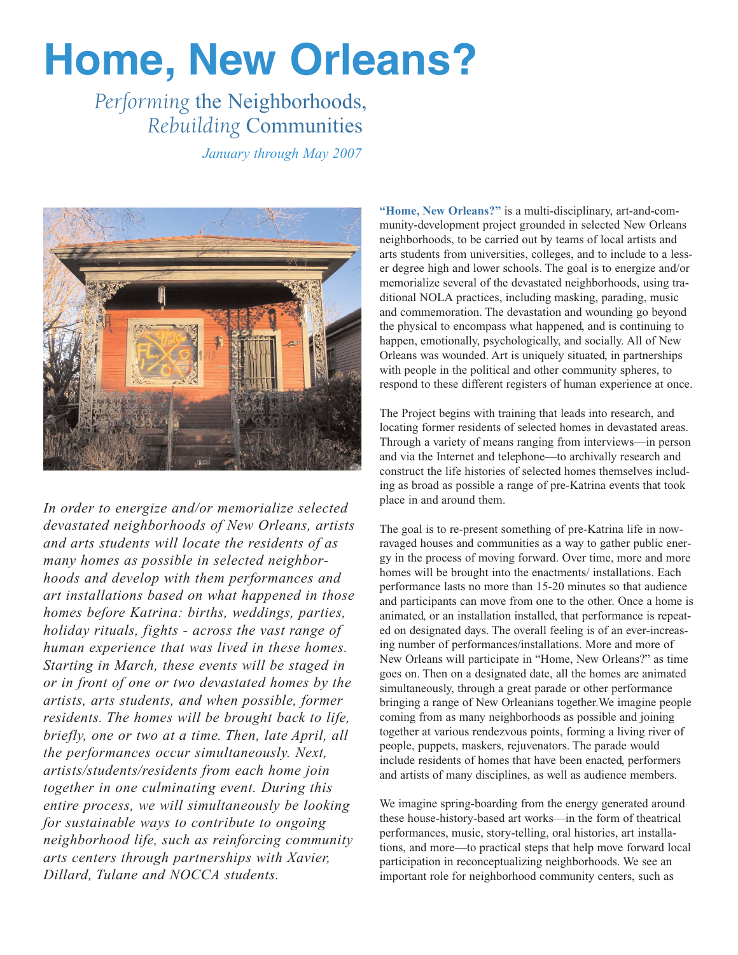# **Home, New Orleans?**

# *Performing* the Neighborhoods, *Rebuilding* Communities

*January through May 2007*



*In order to energize and/or memorialize selected devastated neighborhoods of New Orleans, artists and arts students will locate the residents of as many homes as possible in selected neighborhoods and develop with them performances and art installations based on what happened in those homes before Katrina: births, weddings, parties, holiday rituals, fights - across the vast range of human experience that was lived in these homes. Starting in March, these events will be staged in or in front of one or two devastated homes by the artists, arts students, and when possible, former residents. The homes will be brought back to life, briefly, one or two at a time. Then, late April, all the performances occur simultaneously. Next, artists/students/residents from each home join together in one culminating event. During this entire process, we will simultaneously be looking for sustainable ways to contribute to ongoing neighborhood life, such as reinforcing community arts centers through partnerships with Xavier, Dillard, Tulane and NOCCA students.*

**"Home, New Orleans?"** is a multi-disciplinary, art-and-community-development project grounded in selected New Orleans neighborhoods, to be carried out by teams of local artists and arts students from universities, colleges, and to include to a lesser degree high and lower schools. The goal is to energize and/or memorialize several of the devastated neighborhoods, using traditional NOLA practices, including masking, parading, music and commemoration. The devastation and wounding go beyond the physical to encompass what happened, and is continuing to happen, emotionally, psychologically, and socially. All of New Orleans was wounded. Art is uniquely situated, in partnerships with people in the political and other community spheres, to respond to these different registers of human experience at once.

The Project begins with training that leads into research, and locating former residents of selected homes in devastated areas. Through a variety of means ranging from interviews—in person and via the Internet and telephone—to archivally research and construct the life histories of selected homes themselves including as broad as possible a range of pre-Katrina events that took place in and around them.

The goal is to re-present something of pre-Katrina life in nowravaged houses and communities as a way to gather public energy in the process of moving forward. Over time, more and more homes will be brought into the enactments/ installations. Each performance lasts no more than 15-20 minutes so that audience and participants can move from one to the other. Once a home is animated, or an installation installed, that performance is repeated on designated days. The overall feeling is of an ever-increasing number of performances/installations. More and more of New Orleans will participate in "Home, New Orleans?" as time goes on. Then on a designated date, all the homes are animated simultaneously, through a great parade or other performance bringing a range of New Orleanians together.We imagine people coming from as many neighborhoods as possible and joining together at various rendezvous points, forming a living river of people, puppets, maskers, rejuvenators. The parade would include residents of homes that have been enacted, performers and artists of many disciplines, as well as audience members.

We imagine spring-boarding from the energy generated around these house-history-based art works—in the form of theatrical performances, music, story-telling, oral histories, art installations, and more—to practical steps that help move forward local participation in reconceptualizing neighborhoods. We see an important role for neighborhood community centers, such as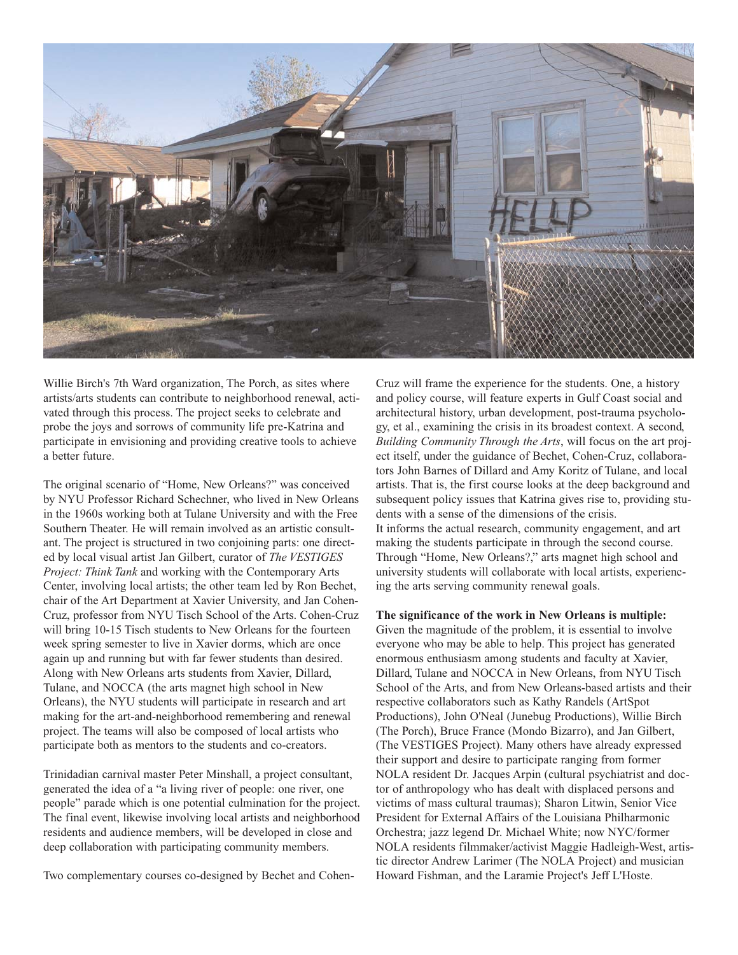

Willie Birch's 7th Ward organization, The Porch, as sites where artists/arts students can contribute to neighborhood renewal, activated through this process. The project seeks to celebrate and probe the joys and sorrows of community life pre-Katrina and participate in envisioning and providing creative tools to achieve a better future.

The original scenario of "Home, New Orleans?" was conceived by NYU Professor Richard Schechner, who lived in New Orleans in the 1960s working both at Tulane University and with the Free Southern Theater. He will remain involved as an artistic consultant. The project is structured in two conjoining parts: one directed by local visual artist Jan Gilbert, curator of *The VESTIGES Project: Think Tank* and working with the Contemporary Arts Center, involving local artists; the other team led by Ron Bechet, chair of the Art Department at Xavier University, and Jan Cohen-Cruz, professor from NYU Tisch School of the Arts. Cohen-Cruz will bring 10-15 Tisch students to New Orleans for the fourteen week spring semester to live in Xavier dorms, which are once again up and running but with far fewer students than desired. Along with New Orleans arts students from Xavier, Dillard, Tulane, and NOCCA (the arts magnet high school in New Orleans), the NYU students will participate in research and art making for the art-and-neighborhood remembering and renewal project. The teams will also be composed of local artists who participate both as mentors to the students and co-creators.

Trinidadian carnival master Peter Minshall, a project consultant, generated the idea of a "a living river of people: one river, one people" parade which is one potential culmination for the project. The final event, likewise involving local artists and neighborhood residents and audience members, will be developed in close and deep collaboration with participating community members.

Two complementary courses co-designed by Bechet and Cohen-

Cruz will frame the experience for the students. One, a history and policy course, will feature experts in Gulf Coast social and architectural history, urban development, post-trauma psychology, et al., examining the crisis in its broadest context. A second, *Building Community Through the Arts*, will focus on the art project itself, under the guidance of Bechet, Cohen-Cruz, collaborators John Barnes of Dillard and Amy Koritz of Tulane, and local artists. That is, the first course looks at the deep background and subsequent policy issues that Katrina gives rise to, providing students with a sense of the dimensions of the crisis. It informs the actual research, community engagement, and art making the students participate in through the second course. Through "Home, New Orleans?," arts magnet high school and university students will collaborate with local artists, experiencing the arts serving community renewal goals.

**The significance of the work in New Orleans is multiple:** Given the magnitude of the problem, it is essential to involve everyone who may be able to help. This project has generated enormous enthusiasm among students and faculty at Xavier, Dillard, Tulane and NOCCA in New Orleans, from NYU Tisch School of the Arts, and from New Orleans-based artists and their respective collaborators such as Kathy Randels (ArtSpot Productions), John O'Neal (Junebug Productions), Willie Birch (The Porch), Bruce France (Mondo Bizarro), and Jan Gilbert, (The VESTIGES Project). Many others have already expressed their support and desire to participate ranging from former NOLA resident Dr. Jacques Arpin (cultural psychiatrist and doctor of anthropology who has dealt with displaced persons and victims of mass cultural traumas); Sharon Litwin, Senior Vice President for External Affairs of the Louisiana Philharmonic Orchestra; jazz legend Dr. Michael White; now NYC/former NOLA residents filmmaker/activist Maggie Hadleigh-West, artistic director Andrew Larimer (The NOLA Project) and musician Howard Fishman, and the Laramie Project's Jeff L'Hoste.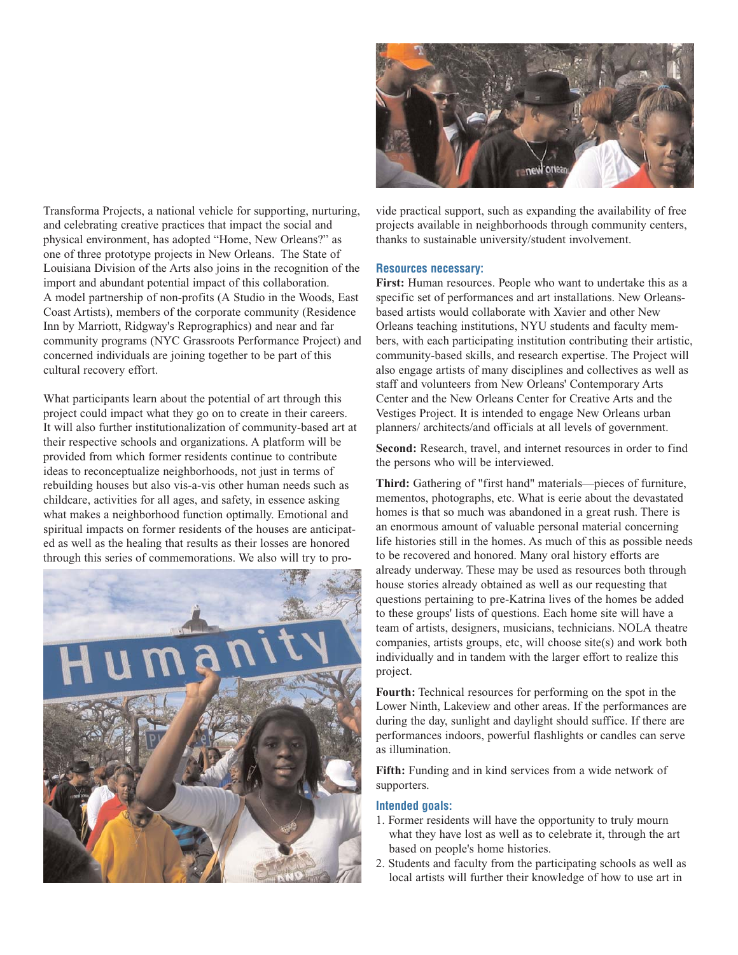

Transforma Projects, a national vehicle for supporting, nurturing, and celebrating creative practices that impact the social and physical environment, has adopted "Home, New Orleans?" as one of three prototype projects in New Orleans. The State of Louisiana Division of the Arts also joins in the recognition of the import and abundant potential impact of this collaboration. A model partnership of non-profits (A Studio in the Woods, East Coast Artists), members of the corporate community (Residence Inn by Marriott, Ridgway's Reprographics) and near and far community programs (NYC Grassroots Performance Project) and concerned individuals are joining together to be part of this cultural recovery effort.

What participants learn about the potential of art through this project could impact what they go on to create in their careers. It will also further institutionalization of community-based art at their respective schools and organizations. A platform will be provided from which former residents continue to contribute ideas to reconceptualize neighborhoods, not just in terms of rebuilding houses but also vis-a-vis other human needs such as childcare, activities for all ages, and safety, in essence asking what makes a neighborhood function optimally. Emotional and spiritual impacts on former residents of the houses are anticipated as well as the healing that results as their losses are honored through this series of commemorations. We also will try to pro-



vide practical support, such as expanding the availability of free projects available in neighborhoods through community centers, thanks to sustainable university/student involvement.

#### **Resources necessary:**

**First:** Human resources. People who want to undertake this as a specific set of performances and art installations. New Orleansbased artists would collaborate with Xavier and other New Orleans teaching institutions, NYU students and faculty members, with each participating institution contributing their artistic, community-based skills, and research expertise. The Project will also engage artists of many disciplines and collectives as well as staff and volunteers from New Orleans' Contemporary Arts Center and the New Orleans Center for Creative Arts and the Vestiges Project. It is intended to engage New Orleans urban planners/ architects/and officials at all levels of government.

**Second:** Research, travel, and internet resources in order to find the persons who will be interviewed.

**Third:** Gathering of "first hand" materials—pieces of furniture, mementos, photographs, etc. What is eerie about the devastated homes is that so much was abandoned in a great rush. There is an enormous amount of valuable personal material concerning life histories still in the homes. As much of this as possible needs to be recovered and honored. Many oral history efforts are already underway. These may be used as resources both through house stories already obtained as well as our requesting that questions pertaining to pre-Katrina lives of the homes be added to these groups' lists of questions. Each home site will have a team of artists, designers, musicians, technicians. NOLA theatre companies, artists groups, etc, will choose site(s) and work both individually and in tandem with the larger effort to realize this project.

**Fourth:** Technical resources for performing on the spot in the Lower Ninth, Lakeview and other areas. If the performances are during the day, sunlight and daylight should suffice. If there are performances indoors, powerful flashlights or candles can serve as illumination.

**Fifth:** Funding and in kind services from a wide network of supporters.

#### **Intended goals:**

- 1. Former residents will have the opportunity to truly mourn what they have lost as well as to celebrate it, through the art based on people's home histories.
- 2. Students and faculty from the participating schools as well as local artists will further their knowledge of how to use art in